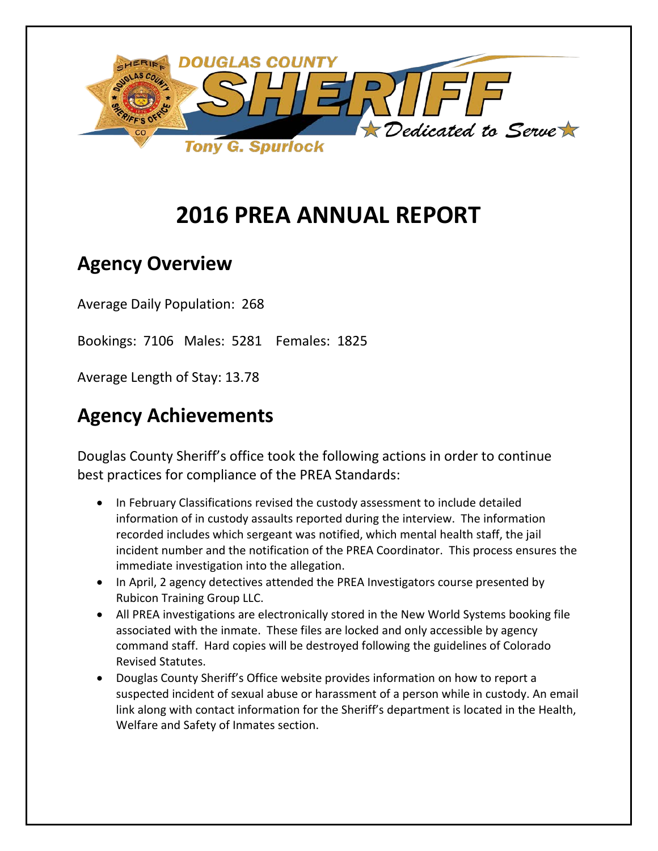

# **2016 PREA ANNUAL REPORT**

## **Agency Overview**

Average Daily Population: 268

Bookings: 7106 Males: 5281 Females: 1825

Average Length of Stay: 13.78

## **Agency Achievements**

Douglas County Sheriff's office took the following actions in order to continue best practices for compliance of the PREA Standards:

- In February Classifications revised the custody assessment to include detailed information of in custody assaults reported during the interview. The information recorded includes which sergeant was notified, which mental health staff, the jail incident number and the notification of the PREA Coordinator. This process ensures the immediate investigation into the allegation.
- In April, 2 agency detectives attended the PREA Investigators course presented by Rubicon Training Group LLC.
- All PREA investigations are electronically stored in the New World Systems booking file associated with the inmate. These files are locked and only accessible by agency command staff. Hard copies will be destroyed following the guidelines of Colorado Revised Statutes.
- Douglas County Sheriff's Office website provides information on how to report a suspected incident of sexual abuse or harassment of a person while in custody. An email link along with contact information for the Sheriff's department is located in the Health, Welfare and Safety of Inmates section.